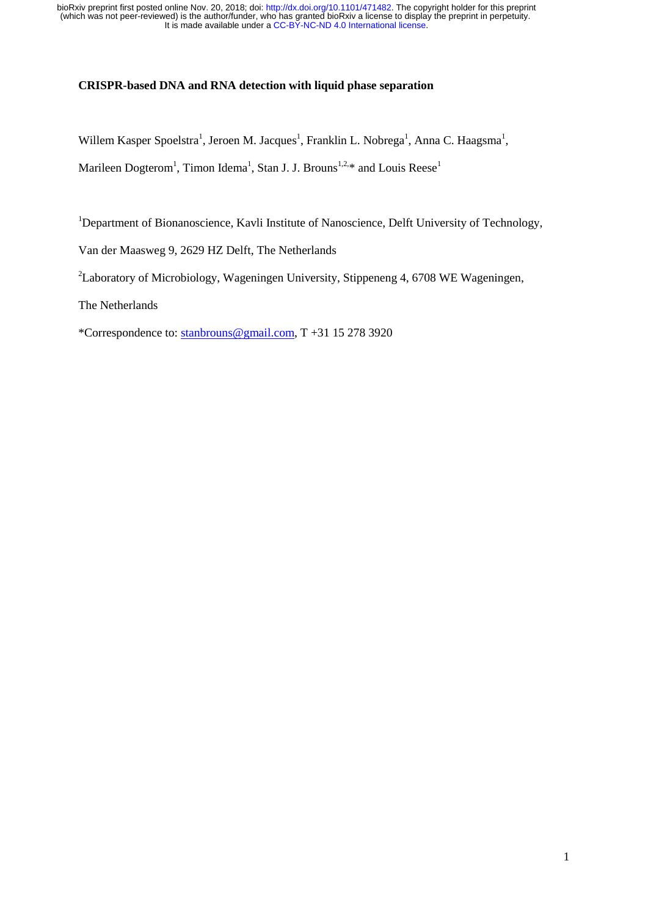## **CRISPR-based DNA and RNA detection with liquid phase separation**

Willem Kasper Spoelstra<sup>1</sup>, Jeroen M. Jacques<sup>1</sup>, Franklin L. Nobrega<sup>1</sup>, Anna C. Haagsma<sup>1</sup>, Marileen Dogterom<sup>1</sup>, Timon Idema<sup>1</sup>, Stan J. J. Brouns<sup>1,2,\*</sup> and Louis Reese<sup>1</sup>

<sup>1</sup>Department of Bionanoscience, Kavli Institute of Nanoscience, Delft University of Technology,

Van der Maasweg 9, 2629 HZ Delft, The Netherlands

<sup>2</sup>Laboratory of Microbiology, Wageningen University, Stippeneng 4, 6708 WE Wageningen,

The Netherlands

\*Correspondence to: [stanbrouns@gmail.com,](mailto:stanbrouns@gmail.com) T +31 15 278 3920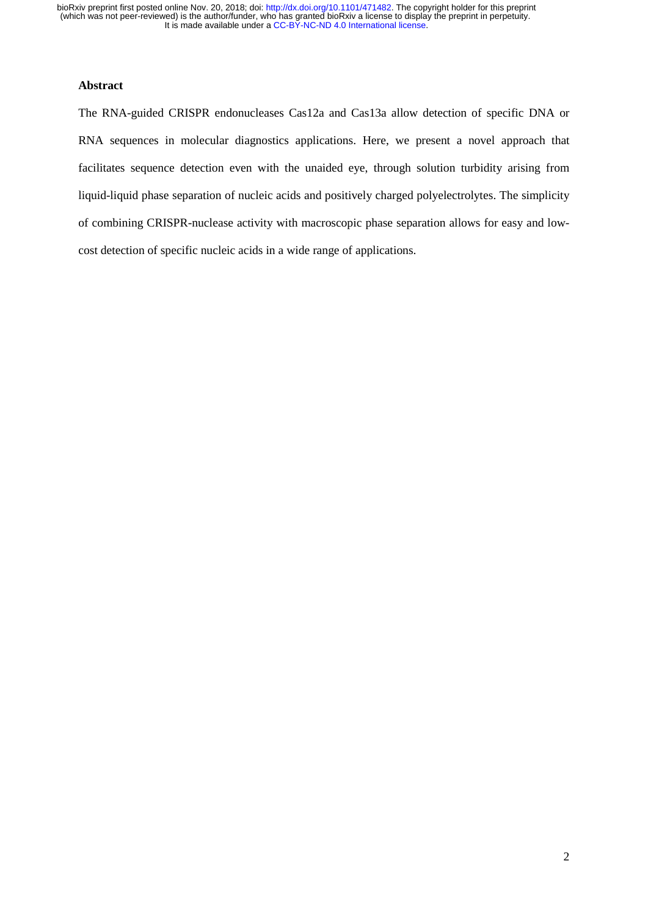## **Abstract**

The RNA-guided CRISPR endonucleases Cas12a and Cas13a allow detection of specific DNA or RNA sequences in molecular diagnostics applications. Here, we present a novel approach that facilitates sequence detection even with the unaided eye, through solution turbidity arising from liquid-liquid phase separation of nucleic acids and positively charged polyelectrolytes. The simplicity of combining CRISPR-nuclease activity with macroscopic phase separation allows for easy and lowcost detection of specific nucleic acids in a wide range of applications.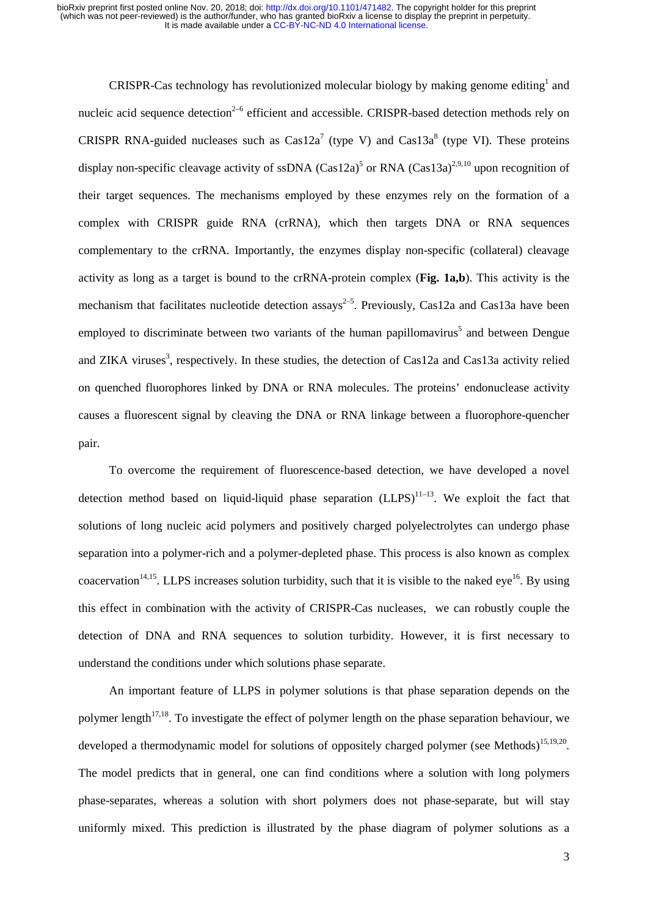CRISPR-Cas technology has revolutionized molecular biology by making genome editing<sup>1</sup> and nucleic acid sequence detection<sup>2–6</sup> efficient and accessible. CRISPR-based detection methods rely on CRISPR RNA-guided nucleases such as  $Cas<sup>7</sup>$  (type V) and  $Cas<sup>8</sup>$  (type VI). These proteins display non-specific cleavage activity of ssDNA (Cas12a)<sup>5</sup> or RNA (Cas13a)<sup>2,9,10</sup> upon recognition of their target sequences. The mechanisms employed by these enzymes rely on the formation of a complex with CRISPR guide RNA (crRNA), which then targets DNA or RNA sequences complementary to the crRNA. Importantly, the enzymes display non-specific (collateral) cleavage activity as long as a target is bound to the crRNA-protein complex (**Fig. 1a,b**). This activity is the mechanism that facilitates nucleotide detection assays<sup>2-5</sup>. Previously, Cas12a and Cas13a have been employed to discriminate between two variants of the human papillomavirus<sup>5</sup> and between Dengue and ZIKA viruses<sup>3</sup>, respectively. In these studies, the detection of Cas12a and Cas13a activity relied on quenched fluorophores linked by DNA or RNA molecules. The proteins' endonuclease activity causes a fluorescent signal by cleaving the DNA or RNA linkage between a fluorophore-quencher pair.

To overcome the requirement of fluorescence-based detection, we have developed a novel detection method based on liquid-liquid phase separation  $(LLPS)^{11-13}$ . We exploit the fact that solutions of long nucleic acid polymers and positively charged polyelectrolytes can undergo phase separation into a polymer-rich and a polymer-depleted phase. This process is also known as complex coacervation<sup>14,15</sup>. LLPS increases solution turbidity, such that it is visible to the naked eye<sup>16</sup>. By using this effect in combination with the activity of CRISPR-Cas nucleases, we can robustly couple the detection of DNA and RNA sequences to solution turbidity. However, it is first necessary to understand the conditions under which solutions phase separate.

An important feature of LLPS in polymer solutions is that phase separation depends on the polymer length<sup>17,18</sup>. To investigate the effect of polymer length on the phase separation behaviour, we developed a thermodynamic model for solutions of oppositely charged polymer (see Methods)<sup>15,19,20</sup>. The model predicts that in general, one can find conditions where a solution with long polymers phase-separates, whereas a solution with short polymers does not phase-separate, but will stay uniformly mixed. This prediction is illustrated by the phase diagram of polymer solutions as a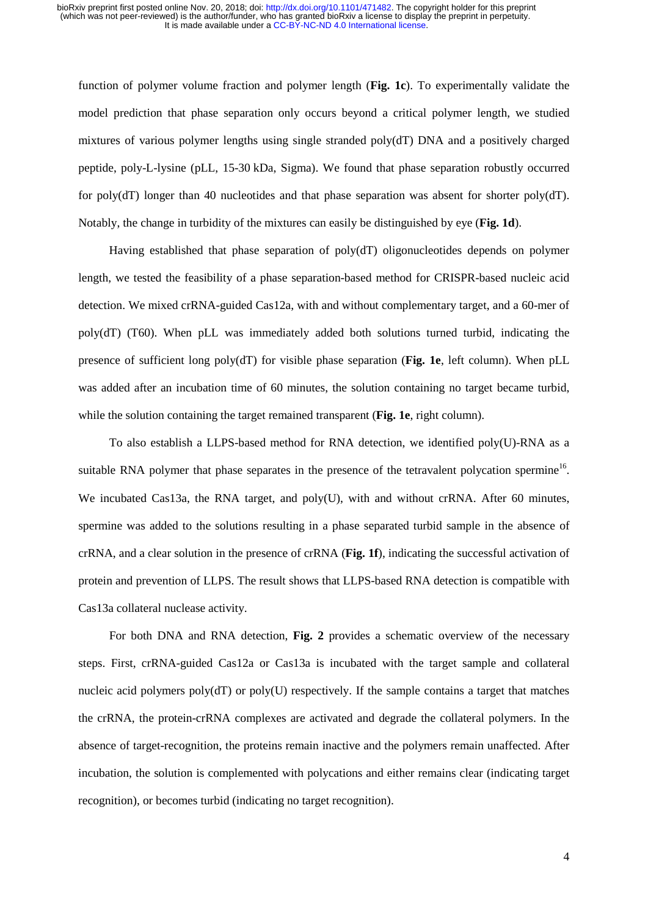function of polymer volume fraction and polymer length (**Fig. 1c**). To experimentally validate the model prediction that phase separation only occurs beyond a critical polymer length, we studied mixtures of various polymer lengths using single stranded poly(dT) DNA and a positively charged peptide, poly-L-lysine (pLL, 15-30 kDa, Sigma). We found that phase separation robustly occurred for poly(dT) longer than 40 nucleotides and that phase separation was absent for shorter poly(dT). Notably, the change in turbidity of the mixtures can easily be distinguished by eye (**Fig. 1d**).

Having established that phase separation of poly(dT) oligonucleotides depends on polymer length, we tested the feasibility of a phase separation-based method for CRISPR-based nucleic acid detection. We mixed crRNA-guided Cas12a, with and without complementary target, and a 60-mer of poly(dT) (T60). When pLL was immediately added both solutions turned turbid, indicating the presence of sufficient long poly(dT) for visible phase separation (**Fig. 1e**, left column). When pLL was added after an incubation time of 60 minutes, the solution containing no target became turbid, while the solution containing the target remained transparent (**Fig. 1e**, right column).

To also establish a LLPS-based method for RNA detection, we identified poly(U)-RNA as a suitable RNA polymer that phase separates in the presence of the tetravalent polycation spermine<sup>16</sup>. We incubated Cas13a, the RNA target, and poly(U), with and without crRNA. After 60 minutes, spermine was added to the solutions resulting in a phase separated turbid sample in the absence of crRNA, and a clear solution in the presence of crRNA (**Fig. 1f**), indicating the successful activation of protein and prevention of LLPS. The result shows that LLPS-based RNA detection is compatible with Cas13a collateral nuclease activity.

For both DNA and RNA detection, **Fig. 2** provides a schematic overview of the necessary steps. First, crRNA-guided Cas12a or Cas13a is incubated with the target sample and collateral nucleic acid polymers  $poly(dT)$  or  $poly(U)$  respectively. If the sample contains a target that matches the crRNA, the protein-crRNA complexes are activated and degrade the collateral polymers. In the absence of target-recognition, the proteins remain inactive and the polymers remain unaffected. After incubation, the solution is complemented with polycations and either remains clear (indicating target recognition), or becomes turbid (indicating no target recognition).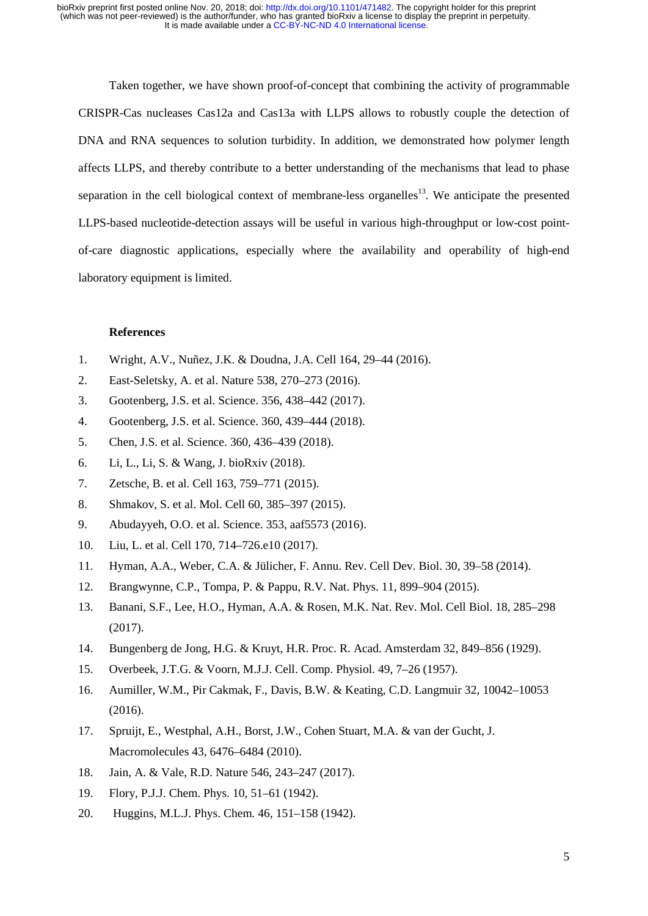Taken together, we have shown proof-of-concept that combining the activity of programmable CRISPR-Cas nucleases Cas12a and Cas13a with LLPS allows to robustly couple the detection of DNA and RNA sequences to solution turbidity. In addition, we demonstrated how polymer length affects LLPS, and thereby contribute to a better understanding of the mechanisms that lead to phase separation in the cell biological context of membrane-less organelles<sup>13</sup>. We anticipate the presented LLPS-based nucleotide-detection assays will be useful in various high-throughput or low-cost pointof-care diagnostic applications, especially where the availability and operability of high-end laboratory equipment is limited.

### **References**

- 1. Wright, A.V., Nuñez, J.K. & Doudna, J.A. Cell 164, 29–44 (2016).
- 2. East-Seletsky, A. et al. Nature 538, 270–273 (2016).
- 3. Gootenberg, J.S. et al. Science. 356, 438–442 (2017).
- 4. Gootenberg, J.S. et al. Science. 360, 439–444 (2018).
- 5. Chen, J.S. et al. Science. 360, 436–439 (2018).
- 6. Li, L., Li, S. & Wang, J. bioRxiv (2018).
- 7. Zetsche, B. et al. Cell 163, 759–771 (2015).
- 8. Shmakov, S. et al. Mol. Cell 60, 385–397 (2015).
- 9. Abudayyeh, O.O. et al. Science. 353, aaf5573 (2016).
- 10. Liu, L. et al. Cell 170, 714–726.e10 (2017).
- 11. Hyman, A.A., Weber, C.A. & Jülicher, F. Annu. Rev. Cell Dev. Biol. 30, 39–58 (2014).
- 12. Brangwynne, C.P., Tompa, P. & Pappu, R.V. Nat. Phys. 11, 899–904 (2015).
- 13. Banani, S.F., Lee, H.O., Hyman, A.A. & Rosen, M.K. Nat. Rev. Mol. Cell Biol. 18, 285–298 (2017).
- 14. Bungenberg de Jong, H.G. & Kruyt, H.R. Proc. R. Acad. Amsterdam 32, 849–856 (1929).
- 15. Overbeek, J.T.G. & Voorn, M.J.J. Cell. Comp. Physiol. 49, 7–26 (1957).
- 16. Aumiller, W.M., Pir Cakmak, F., Davis, B.W. & Keating, C.D. Langmuir 32, 10042–10053 (2016).
- 17. Spruijt, E., Westphal, A.H., Borst, J.W., Cohen Stuart, M.A. & van der Gucht, J. Macromolecules 43, 6476–6484 (2010).
- 18. Jain, A. & Vale, R.D. Nature 546, 243–247 (2017).
- 19. Flory, P.J.J. Chem. Phys. 10, 51–61 (1942).
- 20. Huggins, M.L.J. Phys. Chem. 46, 151–158 (1942).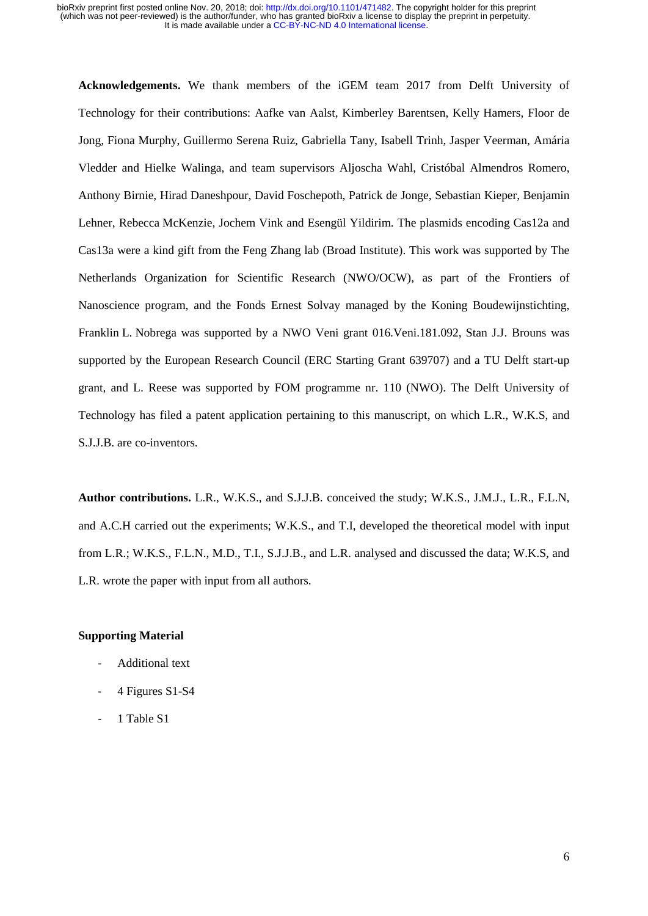**Acknowledgements.** We thank members of the iGEM team 2017 from Delft University of Technology for their contributions: Aafke van Aalst, Kimberley Barentsen, Kelly Hamers, Floor de Jong, Fiona Murphy, Guillermo Serena Ruiz, Gabriella Tany, Isabell Trinh, Jasper Veerman, Amária Vledder and Hielke Walinga, and team supervisors Aljoscha Wahl, Cristóbal Almendros Romero, Anthony Birnie, Hirad Daneshpour, David Foschepoth, Patrick de Jonge, Sebastian Kieper, Benjamin Lehner, Rebecca McKenzie, Jochem Vink and Esengül Yildirim. The plasmids encoding Cas12a and Cas13a were a kind gift from the Feng Zhang lab (Broad Institute). This work was supported by The Netherlands Organization for Scientific Research (NWO/OCW), as part of the Frontiers of Nanoscience program, and the Fonds Ernest Solvay managed by the Koning Boudewijnstichting, Franklin L. Nobrega was supported by a NWO Veni grant 016.Veni.181.092, Stan J.J. Brouns was supported by the European Research Council (ERC Starting Grant 639707) and a TU Delft start-up grant, and L. Reese was supported by FOM programme nr. 110 (NWO). The Delft University of Technology has filed a patent application pertaining to this manuscript, on which L.R., W.K.S, and S.J.J.B. are co-inventors.

**Author contributions.** L.R., W.K.S., and S.J.J.B. conceived the study; W.K.S., J.M.J., L.R., F.L.N, and A.C.H carried out the experiments; W.K.S., and T.I, developed the theoretical model with input from L.R.; W.K.S., F.L.N., M.D., T.I., S.J.J.B., and L.R. analysed and discussed the data; W.K.S, and L.R. wrote the paper with input from all authors.

# **Supporting Material**

- Additional text
- 4 Figures S1-S4
- 1 Table S1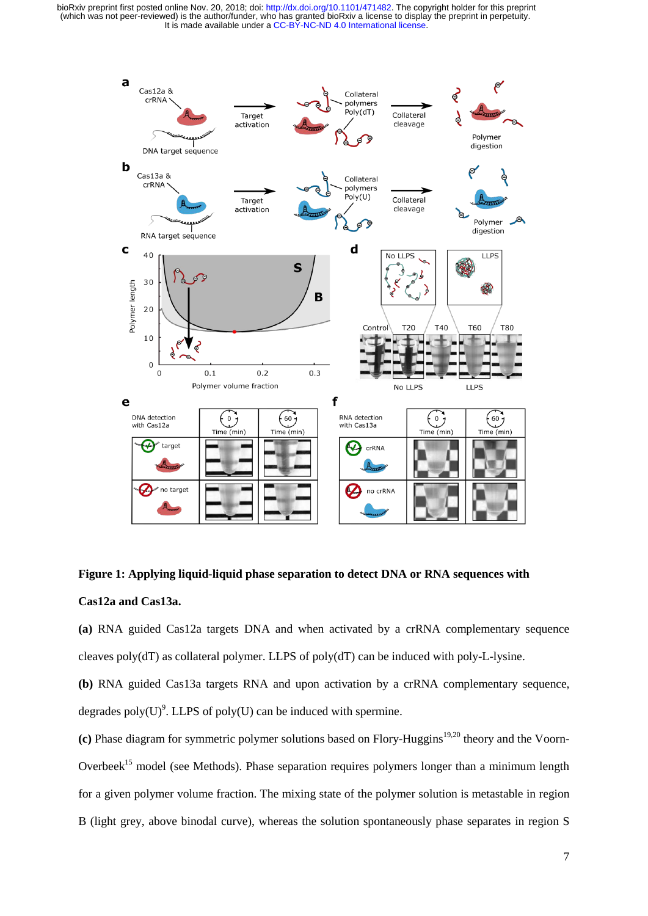

**Figure 1: Applying liquid-liquid phase separation to detect DNA or RNA sequences with Cas12a and Cas13a.** 

**(a)** RNA guided Cas12a targets DNA and when activated by a crRNA complementary sequence cleaves poly(dT) as collateral polymer. LLPS of poly(dT) can be induced with poly-L-lysine.

**(b)** RNA guided Cas13a targets RNA and upon activation by a crRNA complementary sequence, degrades poly(U)<sup>9</sup>. LLPS of poly(U) can be induced with spermine.

**(c)** Phase diagram for symmetric polymer solutions based on Flory-Huggins<sup>19,20</sup> theory and the Voorn-Overbeek<sup>15</sup> model (see Methods). Phase separation requires polymers longer than a minimum length for a given polymer volume fraction. The mixing state of the polymer solution is metastable in region B (light grey, above binodal curve), whereas the solution spontaneously phase separates in region S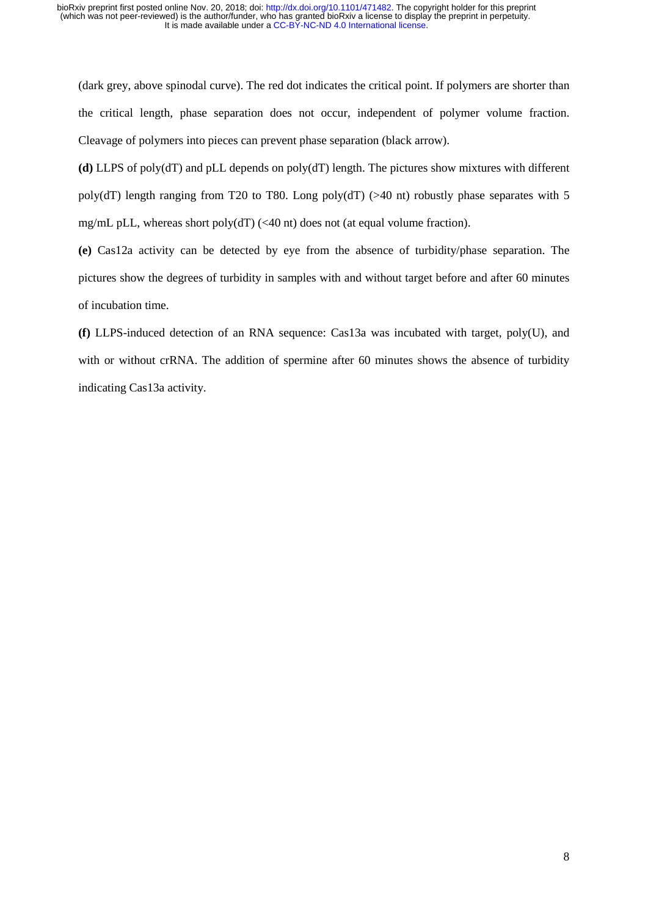(dark grey, above spinodal curve). The red dot indicates the critical point. If polymers are shorter than the critical length, phase separation does not occur, independent of polymer volume fraction. Cleavage of polymers into pieces can prevent phase separation (black arrow).

**(d)** LLPS of poly(dT) and pLL depends on poly(dT) length. The pictures show mixtures with different poly(dT) length ranging from T20 to T80. Long poly(dT) ( $>40$  nt) robustly phase separates with 5 mg/mL pLL, whereas short poly(dT) (<40 nt) does not (at equal volume fraction).

**(e)** Cas12a activity can be detected by eye from the absence of turbidity/phase separation. The pictures show the degrees of turbidity in samples with and without target before and after 60 minutes of incubation time.

**(f)** LLPS-induced detection of an RNA sequence: Cas13a was incubated with target, poly(U), and with or without crRNA. The addition of spermine after 60 minutes shows the absence of turbidity indicating Cas13a activity.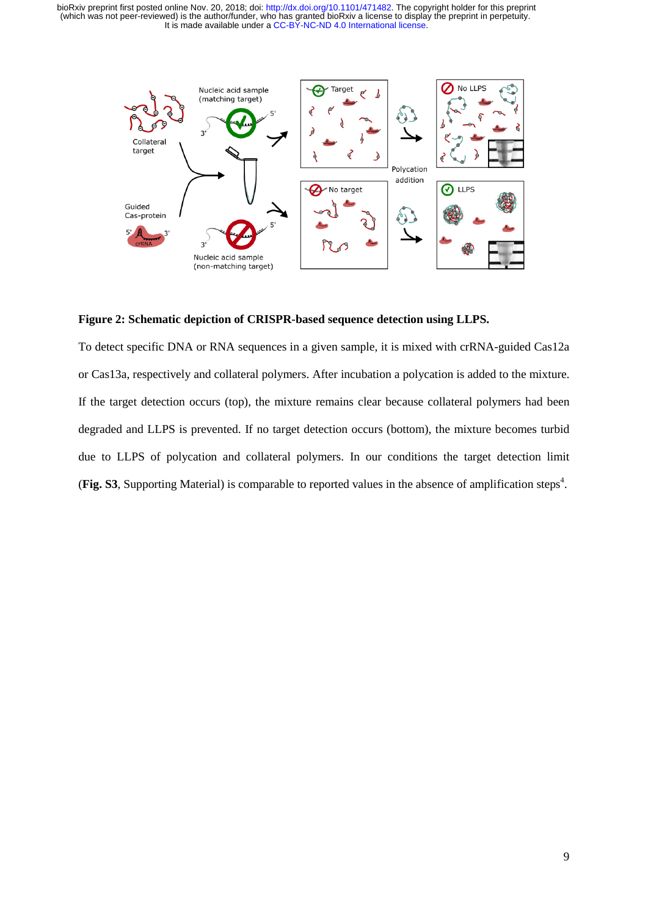

# **Figure 2: Schematic depiction of CRISPR-based sequence detection using LLPS.**

To detect specific DNA or RNA sequences in a given sample, it is mixed with crRNA-guided Cas12a or Cas13a, respectively and collateral polymers. After incubation a polycation is added to the mixture. If the target detection occurs (top), the mixture remains clear because collateral polymers had been degraded and LLPS is prevented. If no target detection occurs (bottom), the mixture becomes turbid due to LLPS of polycation and collateral polymers. In our conditions the target detection limit (Fig. S3, Supporting Material) is comparable to reported values in the absence of amplification steps<sup>4</sup>.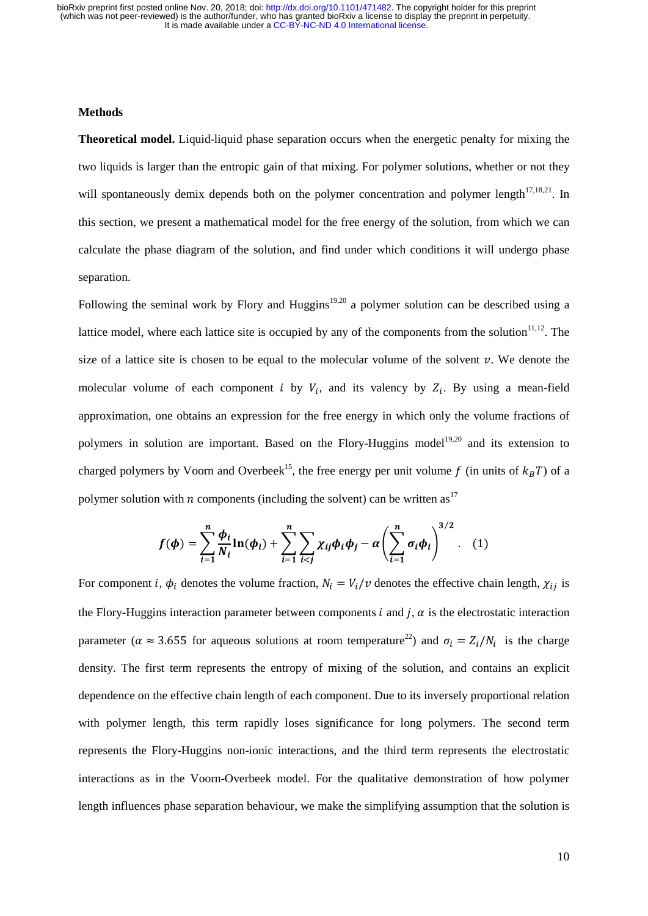#### **Methods**

**Theoretical model.** Liquid-liquid phase separation occurs when the energetic penalty for mixing the two liquids is larger than the entropic gain of that mixing. For polymer solutions, whether or not they will spontaneously demix depends both on the polymer concentration and polymer length $17,18,21$ . In this section, we present a mathematical model for the free energy of the solution, from which we can calculate the phase diagram of the solution, and find under which conditions it will undergo phase separation.

Following the seminal work by Flory and Huggins<sup>19,20</sup> a polymer solution can be described using a lattice model, where each lattice site is occupied by any of the components from the solution $11,12$ . The size of a lattice site is chosen to be equal to the molecular volume of the solvent  $\nu$ . We denote the molecular volume of each component *i* by  $V_i$ , and its valency by  $Z_i$ . By using a mean-field approximation, one obtains an expression for the free energy in which only the volume fractions of polymers in solution are important. Based on the Flory-Huggins model<sup>19,20</sup> and its extension to charged polymers by Voorn and Overbeek<sup>15</sup>, the free energy per unit volume f (in units of  $k_B T$ ) of a polymer solution with *n* components (including the solvent) can be written as<sup>17</sup>

$$
f(\phi) = \sum_{i=1}^{n} \frac{\phi_i}{N_i} \ln(\phi_i) + \sum_{i=1}^{n} \sum_{i < j} \chi_{ij} \phi_i \phi_j - \alpha \left( \sum_{i=1}^{n} \sigma_i \phi_i \right)^{3/2} . \tag{1}
$$

For component *i*,  $\phi_i$  denotes the volume fraction,  $N_i = V_i/v$  denotes the effective chain length,  $\chi_{ij}$  is the Flory-Huggins interaction parameter between components  $i$  and  $j$ ,  $\alpha$  is the electrostatic interaction parameter ( $\alpha \approx 3.655$  for aqueous solutions at room temperature<sup>22</sup>) and  $\sigma_i = Z_i/N_i$  is the charge density. The first term represents the entropy of mixing of the solution, and contains an explicit dependence on the effective chain length of each component. Due to its inversely proportional relation with polymer length, this term rapidly loses significance for long polymers. The second term represents the Flory-Huggins non-ionic interactions, and the third term represents the electrostatic interactions as in the Voorn-Overbeek model. For the qualitative demonstration of how polymer length influences phase separation behaviour, we make the simplifying assumption that the solution is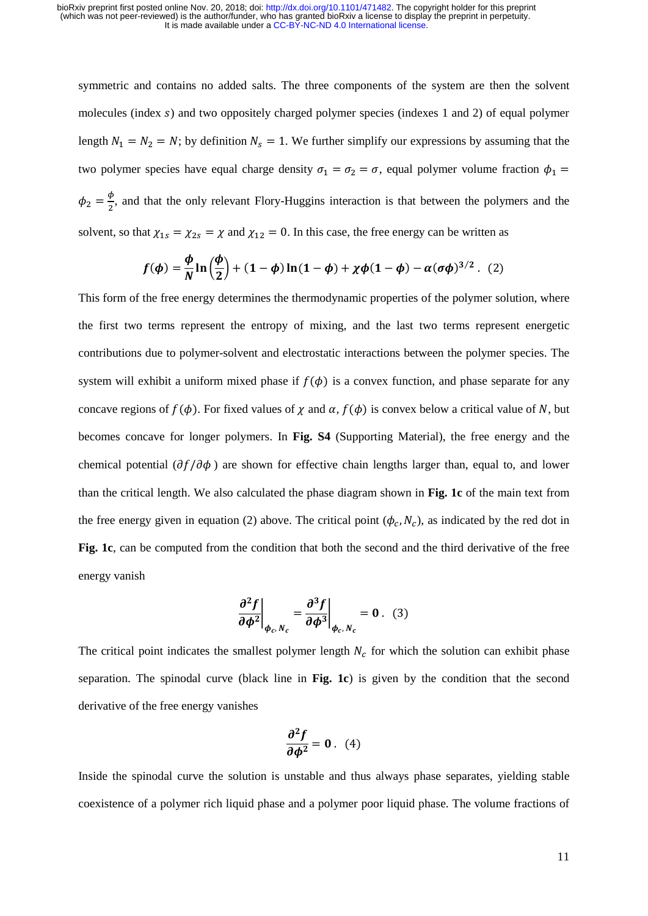symmetric and contains no added salts. The three components of the system are then the solvent molecules (index s) and two oppositely charged polymer species (indexes 1 and 2) of equal polymer length  $N_1 = N_2 = N$ ; by definition  $N_s = 1$ . We further simplify our expressions by assuming that the two polymer species have equal charge density  $\sigma_1 = \sigma_2 = \sigma$ , equal polymer volume fraction  $\phi_1$  =  $\phi_2 = \frac{\phi}{2}$ , and that the only relevant Flory-Huggins interaction is that between the polymers and the solvent, so that  $\chi_{1s} = \chi_{2s} = \chi$  and  $\chi_{12} = 0$ . In this case, the free energy can be written as

$$
f(\phi) = \frac{\phi}{N} \ln \left( \frac{\phi}{2} \right) + (1 - \phi) \ln(1 - \phi) + \chi \phi (1 - \phi) - \alpha (\sigma \phi)^{3/2}.
$$
 (2)

This form of the free energy determines the thermodynamic properties of the polymer solution, where the first two terms represent the entropy of mixing, and the last two terms represent energetic contributions due to polymer-solvent and electrostatic interactions between the polymer species. The system will exhibit a uniform mixed phase if  $f(\phi)$  is a convex function, and phase separate for any concave regions of  $f(\phi)$ . For fixed values of  $\chi$  and  $\alpha$ ,  $f(\phi)$  is convex below a critical value of N, but becomes concave for longer polymers. In **Fig. S4** (Supporting Material), the free energy and the chemical potential  $(\partial f / \partial \phi)$  are shown for effective chain lengths larger than, equal to, and lower than the critical length. We also calculated the phase diagram shown in **Fig. 1c** of the main text from the free energy given in equation (2) above. The critical point  $(\phi_c, N_c)$ , as indicated by the red dot in **Fig. 1c**, can be computed from the condition that both the second and the third derivative of the free energy vanish

$$
\left. \frac{\partial^2 f}{\partial \phi^2} \right|_{\phi_c, N_c} = \left. \frac{\partial^3 f}{\partial \phi^3} \right|_{\phi_c, N_c} = 0 \ . \tag{3}
$$

The critical point indicates the smallest polymer length  $N_c$  for which the solution can exhibit phase separation. The spinodal curve (black line in **Fig. 1c**) is given by the condition that the second derivative of the free energy vanishes

$$
\frac{\partial^2 f}{\partial \phi^2} = 0 \quad (4)
$$

Inside the spinodal curve the solution is unstable and thus always phase separates, yielding stable coexistence of a polymer rich liquid phase and a polymer poor liquid phase. The volume fractions of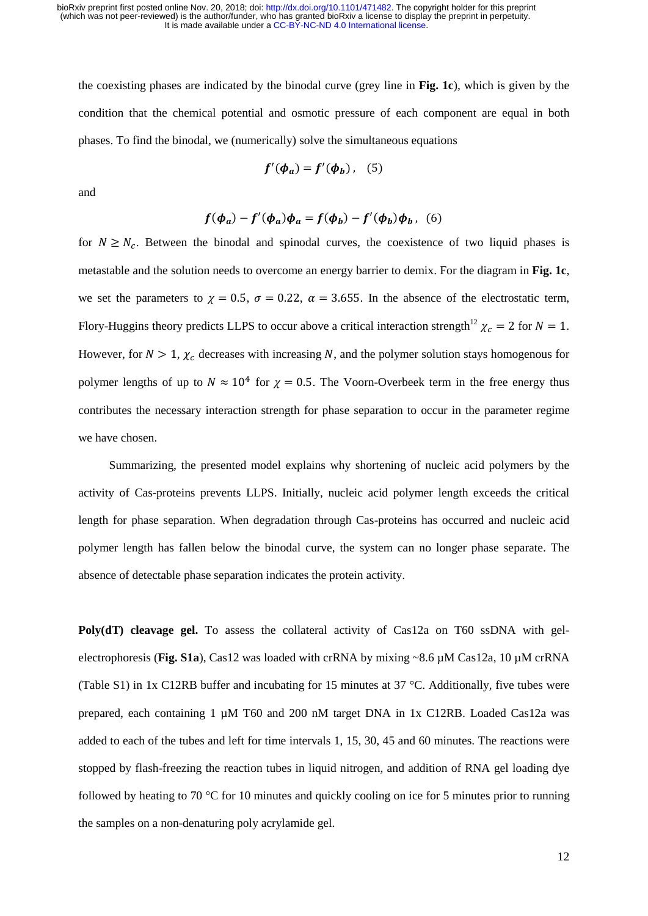the coexisting phases are indicated by the binodal curve (grey line in **Fig. 1c**), which is given by the condition that the chemical potential and osmotic pressure of each component are equal in both phases. To find the binodal, we (numerically) solve the simultaneous equations

$$
f'(\phi_a) = f'(\phi_b), \quad (5)
$$

and

$$
f(\phi_a) - f'(\phi_a)\phi_a = f(\phi_b) - f'(\phi_b)\phi_b, \quad (6)
$$

for  $N \ge N_c$ . Between the binodal and spinodal curves, the coexistence of two liquid phases is metastable and the solution needs to overcome an energy barrier to demix. For the diagram in **Fig. 1c**, we set the parameters to  $\gamma = 0.5$ ,  $\sigma = 0.22$ ,  $\alpha = 3.655$ . In the absence of the electrostatic term, Flory-Huggins theory predicts LLPS to occur above a critical interaction strength<sup>12</sup>  $\chi_c = 2$  for  $N = 1$ . However, for  $N > 1$ ,  $\chi_c$  decreases with increasing N, and the polymer solution stays homogenous for polymer lengths of up to  $N \approx 10^4$  for  $\gamma = 0.5$ . The Voorn-Overbeek term in the free energy thus contributes the necessary interaction strength for phase separation to occur in the parameter regime we have chosen.

Summarizing, the presented model explains why shortening of nucleic acid polymers by the activity of Cas-proteins prevents LLPS. Initially, nucleic acid polymer length exceeds the critical length for phase separation. When degradation through Cas-proteins has occurred and nucleic acid polymer length has fallen below the binodal curve, the system can no longer phase separate. The absence of detectable phase separation indicates the protein activity.

**Poly(dT) cleavage gel.** To assess the collateral activity of Cas12a on T60 ssDNA with gelelectrophoresis (**Fig. S1a**), Cas12 was loaded with crRNA by mixing ~8.6 µM Cas12a, 10 µM crRNA (Table S1) in 1x C12RB buffer and incubating for 15 minutes at 37 °C. Additionally, five tubes were prepared, each containing 1 µM T60 and 200 nM target DNA in 1x C12RB. Loaded Cas12a was added to each of the tubes and left for time intervals 1, 15, 30, 45 and 60 minutes. The reactions were stopped by flash-freezing the reaction tubes in liquid nitrogen, and addition of RNA gel loading dye followed by heating to 70 °C for 10 minutes and quickly cooling on ice for 5 minutes prior to running the samples on a non-denaturing poly acrylamide gel.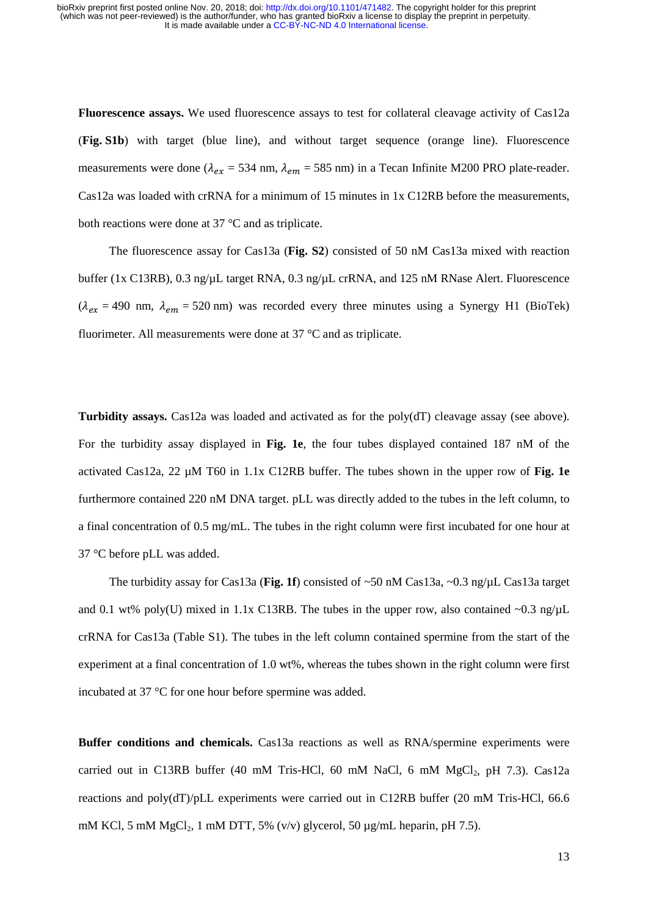**Fluorescence assays.** We used fluorescence assays to test for collateral cleavage activity of Cas12a (**Fig. S1b**) with target (blue line), and without target sequence (orange line). Fluorescence measurements were done ( $\lambda_{ex}$  = 534 nm,  $\lambda_{em}$  = 585 nm) in a Tecan Infinite M200 PRO plate-reader. Cas12a was loaded with crRNA for a minimum of 15 minutes in 1x C12RB before the measurements, both reactions were done at 37 °C and as triplicate.

The fluorescence assay for Cas13a (**Fig. S2**) consisted of 50 nM Cas13a mixed with reaction buffer (1x C13RB), 0.3 ng/µL target RNA, 0.3 ng/µL crRNA, and 125 nM RNase Alert. Fluorescence  $(\lambda_{ex} = 490 \text{ nm}, \lambda_{em} = 520 \text{ nm})$  was recorded every three minutes using a Synergy H1 (BioTek) fluorimeter. All measurements were done at 37 °C and as triplicate.

**Turbidity assays.** Cas12a was loaded and activated as for the poly(dT) cleavage assay (see above). For the turbidity assay displayed in **Fig. 1e**, the four tubes displayed contained 187 nM of the activated Cas12a, 22 µM T60 in 1.1x C12RB buffer. The tubes shown in the upper row of **Fig. 1e** furthermore contained 220 nM DNA target. pLL was directly added to the tubes in the left column, to a final concentration of 0.5 mg/mL. The tubes in the right column were first incubated for one hour at 37 °C before pLL was added.

The turbidity assay for Cas13a (**Fig. 1f**) consisted of ~50 nM Cas13a, ~0.3 ng/µL Cas13a target and 0.1 wt% poly(U) mixed in 1.1x C13RB. The tubes in the upper row, also contained ~0.3 ng/ $\mu$ L crRNA for Cas13a (Table S1). The tubes in the left column contained spermine from the start of the experiment at a final concentration of 1.0 wt%, whereas the tubes shown in the right column were first incubated at 37 °C for one hour before spermine was added.

**Buffer conditions and chemicals.** Cas13a reactions as well as RNA/spermine experiments were carried out in C13RB buffer (40 mM Tris-HCl, 60 mM NaCl, 6 mM  $MgCl<sub>2</sub>$ , pH 7.3). Cas12a reactions and poly(dT)/pLL experiments were carried out in C12RB buffer (20 mM Tris-HCl, 66.6 mM KCl, 5 mM  $MgCl<sub>2</sub>$ , 1 mM DTT, 5% (v/v) glycerol, 50  $\mu$ g/mL heparin, pH 7.5).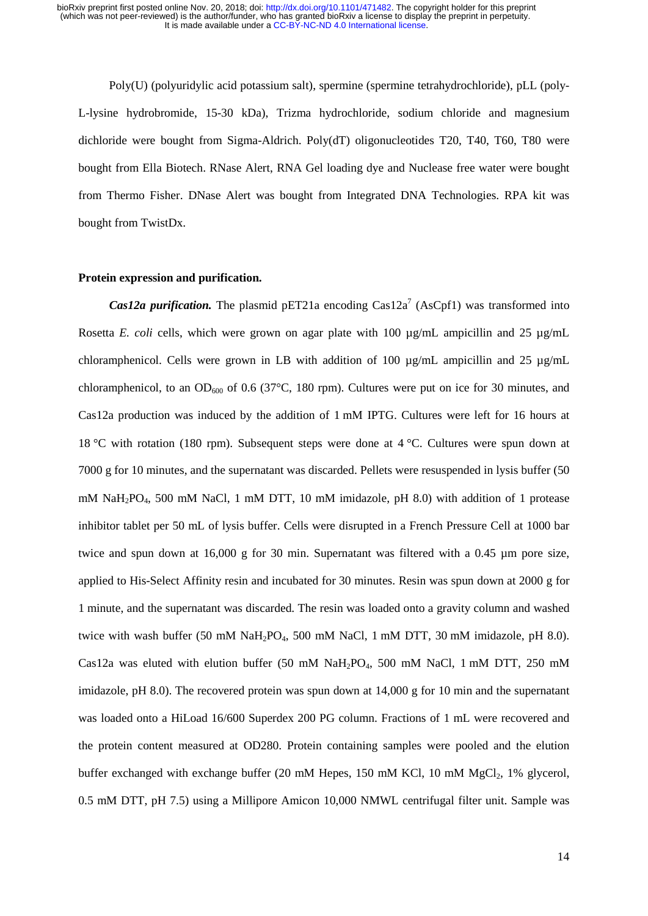Poly(U) (polyuridylic acid potassium salt), spermine (spermine tetrahydrochloride), pLL (poly-L-lysine hydrobromide, 15-30 kDa), Trizma hydrochloride, sodium chloride and magnesium dichloride were bought from Sigma-Aldrich. Poly(dT) oligonucleotides T20, T40, T60, T80 were bought from Ella Biotech. RNase Alert, RNA Gel loading dye and Nuclease free water were bought from Thermo Fisher. DNase Alert was bought from Integrated DNA Technologies. RPA kit was bought from TwistDx.

### **Protein expression and purification.**

*Cas12a purification.* The plasmid pET21a encoding Cas12a<sup>7</sup> (AsCpf1) was transformed into Rosetta *E. coli* cells, which were grown on agar plate with 100  $\mu$ g/mL ampicillin and 25  $\mu$ g/mL chloramphenicol. Cells were grown in LB with addition of 100  $\mu$ g/mL ampicillin and 25  $\mu$ g/mL chloramphenicol, to an OD<sub>600</sub> of 0.6 (37 $^{\circ}$ C, 180 rpm). Cultures were put on ice for 30 minutes, and Cas12a production was induced by the addition of 1 mM IPTG. Cultures were left for 16 hours at 18 °C with rotation (180 rpm). Subsequent steps were done at 4 °C. Cultures were spun down at 7000 g for 10 minutes, and the supernatant was discarded. Pellets were resuspended in lysis buffer (50 mM NaH2PO4, 500 mM NaCl, 1 mM DTT, 10 mM imidazole, pH 8.0) with addition of 1 protease inhibitor tablet per 50 mL of lysis buffer. Cells were disrupted in a French Pressure Cell at 1000 bar twice and spun down at 16,000 g for 30 min. Supernatant was filtered with a 0.45 µm pore size, applied to His-Select Affinity resin and incubated for 30 minutes. Resin was spun down at 2000 g for 1 minute, and the supernatant was discarded. The resin was loaded onto a gravity column and washed twice with wash buffer (50 mM NaH<sub>2</sub>PO<sub>4</sub>, 500 mM NaCl, 1 mM DTT, 30 mM imidazole, pH 8.0). Cas12a was eluted with elution buffer (50 mM NaH<sub>2</sub>PO<sub>4</sub>, 500 mM NaCl, 1 mM DTT, 250 mM imidazole, pH 8.0). The recovered protein was spun down at 14,000 g for 10 min and the supernatant was loaded onto a HiLoad 16/600 Superdex 200 PG column. Fractions of 1 mL were recovered and the protein content measured at OD280. Protein containing samples were pooled and the elution buffer exchanged with exchange buffer (20 mM Hepes, 150 mM KCl, 10 mM  $MgCl<sub>2</sub>$ , 1% glycerol, 0.5 mM DTT, pH 7.5) using a Millipore Amicon 10,000 NMWL centrifugal filter unit. Sample was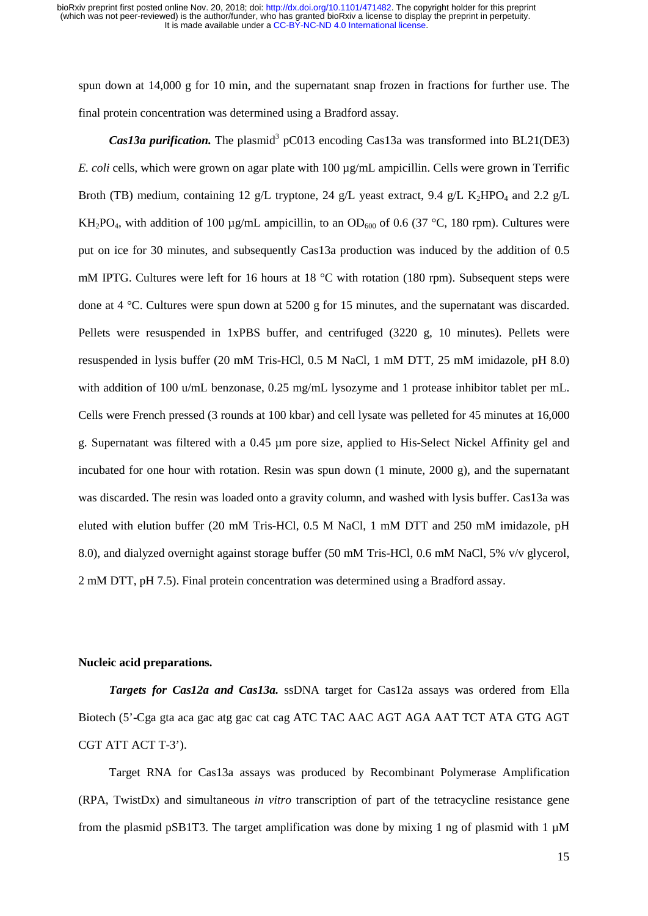spun down at 14,000 g for 10 min, and the supernatant snap frozen in fractions for further use. The final protein concentration was determined using a Bradford assay.

*Cas13a purification.* The plasmid<sup>3</sup> pC013 encoding Cas13a was transformed into BL21(DE3) *E. coli* cells, which were grown on agar plate with 100 µg/mL ampicillin. Cells were grown in Terrific Broth (TB) medium, containing 12 g/L tryptone, 24 g/L yeast extract, 9.4 g/L K<sub>2</sub>HPO<sub>4</sub> and 2.2 g/L KH<sub>2</sub>PO<sub>4</sub>, with addition of 100 µg/mL ampicillin, to an OD<sub>600</sub> of 0.6 (37 °C, 180 rpm). Cultures were put on ice for 30 minutes, and subsequently Cas13a production was induced by the addition of 0.5 mM IPTG. Cultures were left for 16 hours at 18 °C with rotation (180 rpm). Subsequent steps were done at 4 °C. Cultures were spun down at 5200 g for 15 minutes, and the supernatant was discarded. Pellets were resuspended in 1xPBS buffer, and centrifuged (3220 g, 10 minutes). Pellets were resuspended in lysis buffer (20 mM Tris-HCl, 0.5 M NaCl, 1 mM DTT, 25 mM imidazole, pH 8.0) with addition of 100 u/mL benzonase, 0.25 mg/mL lysozyme and 1 protease inhibitor tablet per mL. Cells were French pressed (3 rounds at 100 kbar) and cell lysate was pelleted for 45 minutes at 16,000 g. Supernatant was filtered with a 0.45 µm pore size, applied to His-Select Nickel Affinity gel and incubated for one hour with rotation. Resin was spun down (1 minute, 2000 g), and the supernatant was discarded. The resin was loaded onto a gravity column, and washed with lysis buffer. Cas13a was eluted with elution buffer (20 mM Tris-HCl, 0.5 M NaCl, 1 mM DTT and 250 mM imidazole, pH 8.0), and dialyzed overnight against storage buffer (50 mM Tris-HCl, 0.6 mM NaCl, 5% v/v glycerol, 2 mM DTT, pH 7.5). Final protein concentration was determined using a Bradford assay.

## **Nucleic acid preparations.**

*Targets for Cas12a and Cas13a.* ssDNA target for Cas12a assays was ordered from Ella Biotech (5'-Cga gta aca gac atg gac cat cag ATC TAC AAC AGT AGA AAT TCT ATA GTG AGT CGT ATT ACT T-3').

Target RNA for Cas13a assays was produced by Recombinant Polymerase Amplification (RPA, TwistDx) and simultaneous *in vitro* transcription of part of the tetracycline resistance gene from the plasmid pSB1T3. The target amplification was done by mixing 1 ng of plasmid with 1  $\mu$ M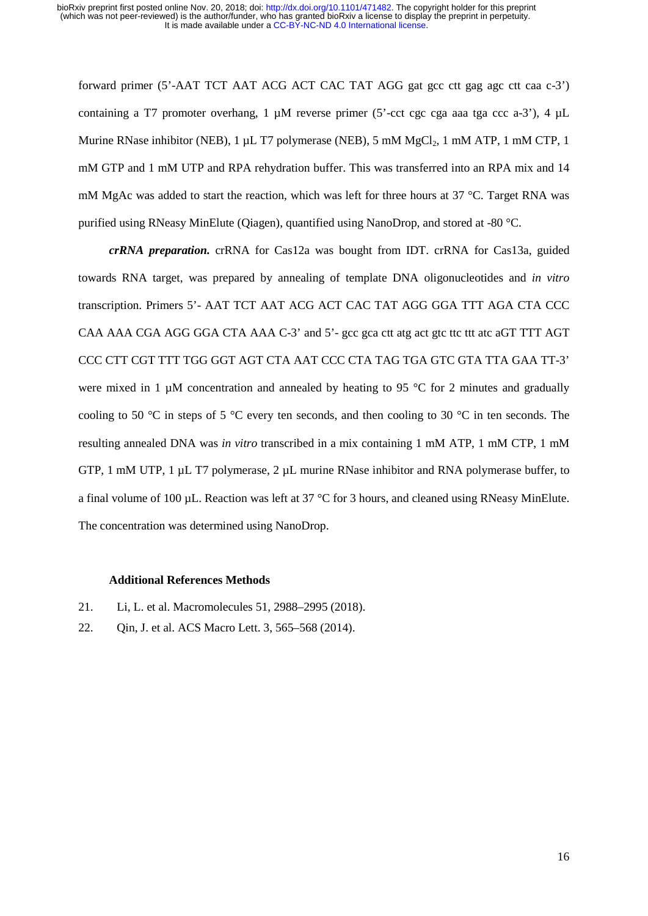forward primer (5'-AAT TCT AAT ACG ACT CAC TAT AGG gat gcc ctt gag agc ctt caa c-3') containing a T7 promoter overhang, 1  $\mu$ M reverse primer (5'-cct cgc cga aaa tga ccc a-3'), 4  $\mu$ L Murine RNase inhibitor (NEB), 1 µL T7 polymerase (NEB), 5 mM MgCl<sub>2</sub>, 1 mM ATP, 1 mM CTP, 1 mM GTP and 1 mM UTP and RPA rehydration buffer. This was transferred into an RPA mix and 14 mM MgAc was added to start the reaction, which was left for three hours at 37 °C. Target RNA was purified using RNeasy MinElute (Qiagen), quantified using NanoDrop, and stored at -80 °C.

*crRNA preparation.* crRNA for Cas12a was bought from IDT. crRNA for Cas13a, guided towards RNA target, was prepared by annealing of template DNA oligonucleotides and *in vitro* transcription. Primers 5'- AAT TCT AAT ACG ACT CAC TAT AGG GGA TTT AGA CTA CCC CAA AAA CGA AGG GGA CTA AAA C-3' and 5'- gcc gca ctt atg act gtc ttc ttt atc aGT TTT AGT CCC CTT CGT TTT TGG GGT AGT CTA AAT CCC CTA TAG TGA GTC GTA TTA GAA TT-3' were mixed in 1  $\mu$ M concentration and annealed by heating to 95 °C for 2 minutes and gradually cooling to 50 °C in steps of 5 °C every ten seconds, and then cooling to 30 °C in ten seconds. The resulting annealed DNA was *in vitro* transcribed in a mix containing 1 mM ATP, 1 mM CTP, 1 mM GTP, 1 mM UTP, 1  $\mu$ L T7 polymerase, 2  $\mu$ L murine RNase inhibitor and RNA polymerase buffer, to a final volume of 100  $\mu$ L. Reaction was left at 37 °C for 3 hours, and cleaned using RNeasy MinElute. The concentration was determined using NanoDrop.

## **Additional References Methods**

- 21. Li, L. et al. Macromolecules 51, 2988–2995 (2018).
- 22. Qin, J. et al. ACS Macro Lett. 3, 565–568 (2014).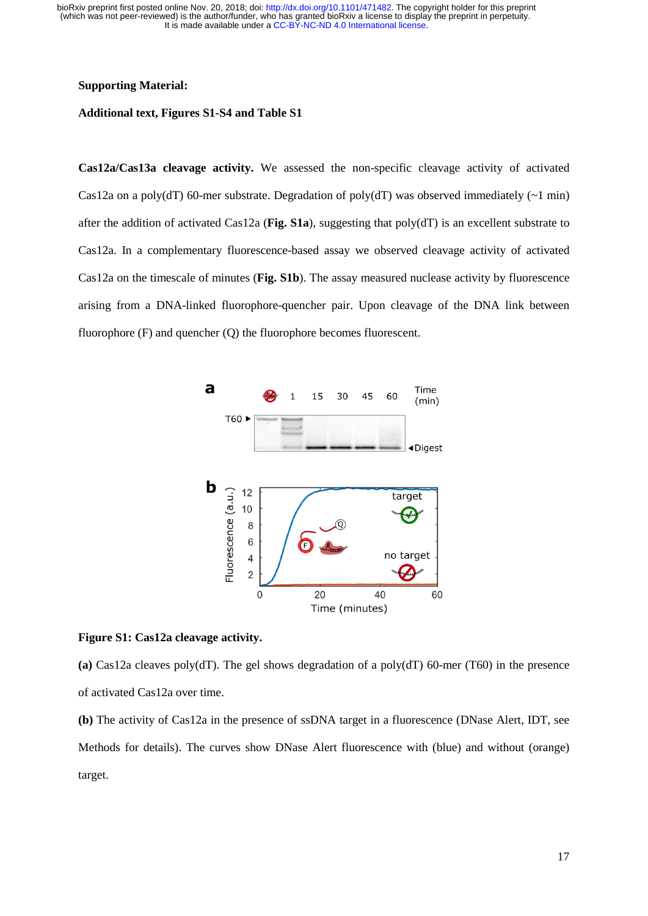### **Supporting Material:**

# **Additional text, Figures S1-S4 and Table S1**

**Cas12a/Cas13a cleavage activity.** We assessed the non-specific cleavage activity of activated Cas12a on a poly(dT) 60-mer substrate. Degradation of poly(dT) was observed immediately  $(\sim 1 \text{ min})$ after the addition of activated Cas12a (**Fig. S1a**), suggesting that poly(dT) is an excellent substrate to Cas12a. In a complementary fluorescence-based assay we observed cleavage activity of activated Cas12a on the timescale of minutes (**Fig. S1b**). The assay measured nuclease activity by fluorescence arising from a DNA-linked fluorophore-quencher pair. Upon cleavage of the DNA link between fluorophore (F) and quencher (Q) the fluorophore becomes fluorescent.



### **Figure S1: Cas12a cleavage activity.**

**(a)** Cas12a cleaves poly(dT). The gel shows degradation of a poly(dT) 60-mer (T60) in the presence of activated Cas12a over time.

**(b)** The activity of Cas12a in the presence of ssDNA target in a fluorescence (DNase Alert, IDT, see Methods for details). The curves show DNase Alert fluorescence with (blue) and without (orange) target.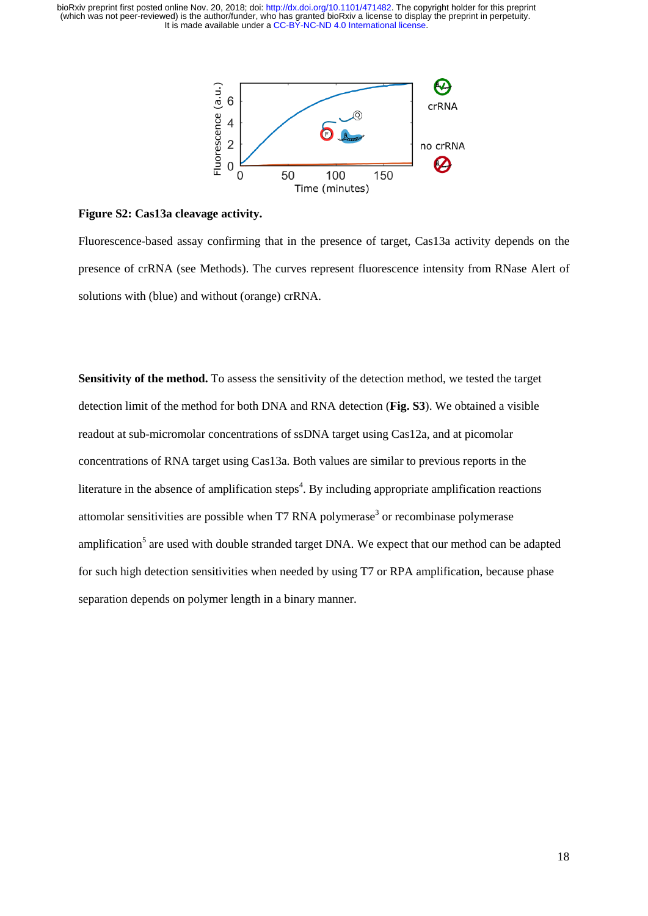

## **Figure S2: Cas13a cleavage activity.**

Fluorescence-based assay confirming that in the presence of target, Cas13a activity depends on the presence of crRNA (see Methods). The curves represent fluorescence intensity from RNase Alert of solutions with (blue) and without (orange) crRNA.

**Sensitivity of the method.** To assess the sensitivity of the detection method, we tested the target detection limit of the method for both DNA and RNA detection (**Fig. S3**). We obtained a visible readout at sub-micromolar concentrations of ssDNA target using Cas12a, and at picomolar concentrations of RNA target using Cas13a. Both values are similar to previous reports in the literature in the absence of amplification steps<sup>4</sup>. By including appropriate amplification reactions attomolar sensitivities are possible when  $T7$  RNA polymerase<sup>3</sup> or recombinase polymerase amplification<sup>5</sup> are used with double stranded target DNA. We expect that our method can be adapted for such high detection sensitivities when needed by using T7 or RPA amplification, because phase separation depends on polymer length in a binary manner.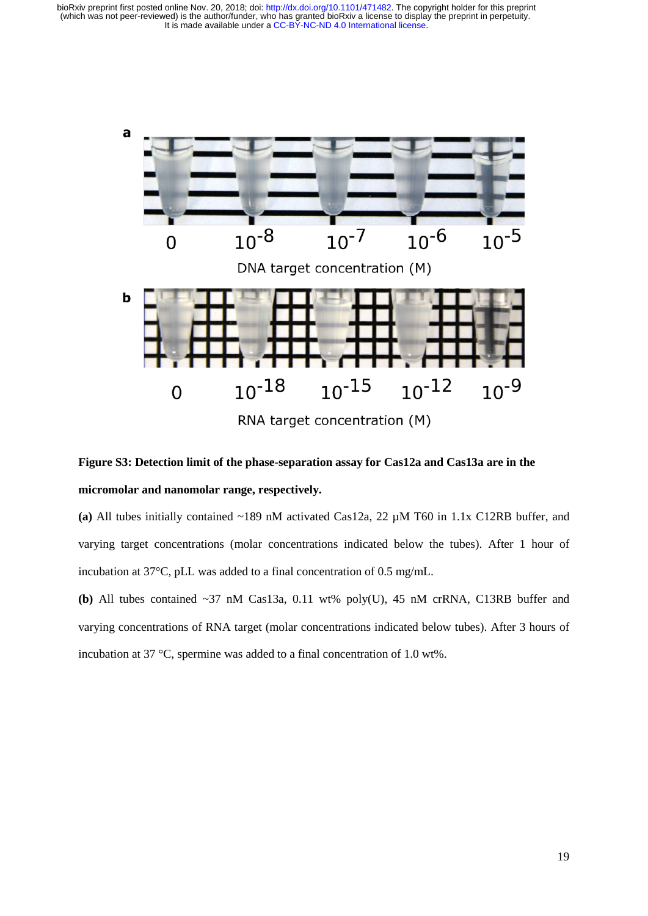



**(a)** All tubes initially contained ~189 nM activated Cas12a, 22 µM T60 in 1.1x C12RB buffer, and varying target concentrations (molar concentrations indicated below the tubes). After 1 hour of incubation at 37°C, pLL was added to a final concentration of 0.5 mg/mL.

**(b)** All tubes contained ~37 nM Cas13a, 0.11 wt% poly(U), 45 nM crRNA, C13RB buffer and varying concentrations of RNA target (molar concentrations indicated below tubes). After 3 hours of incubation at 37 °C, spermine was added to a final concentration of 1.0 wt%.